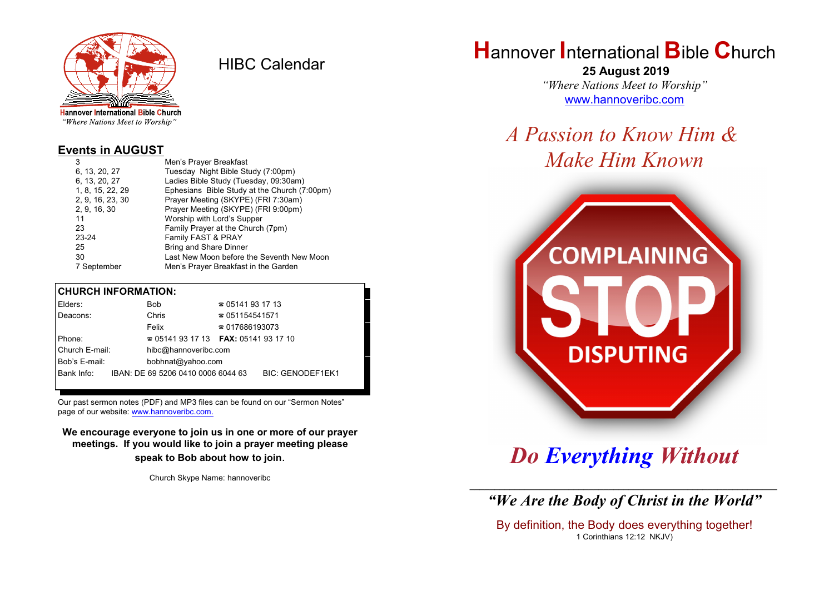

HIBC Calendar

"Where Nations Meet to Worship"

#### **Events in AUGUST**

| 3                | Men's Prayer Breakfast                       |
|------------------|----------------------------------------------|
| 6, 13, 20, 27    | Tuesday Night Bible Study (7:00pm)           |
| 6, 13, 20, 27    | Ladies Bible Study (Tuesday, 09:30am)        |
| 1, 8, 15, 22, 29 | Ephesians Bible Study at the Church (7:00pm) |
| 2, 9, 16, 23, 30 | Prayer Meeting (SKYPE) (FRI 7:30am)          |
| 2, 9, 16, 30     | Prayer Meeting (SKYPE) (FRI 9:00pm)          |
| 11               | Worship with Lord's Supper                   |
| 23               | Family Prayer at the Church (7pm)            |
| $23 - 24$        | Family FAST & PRAY                           |
| 25               | <b>Bring and Share Dinner</b>                |
| 30               | Last New Moon before the Seventh New Moon    |
| 7 September      | Men's Prayer Breakfast in the Garden         |

### **CHURCH INFORMATION:**

| Elders:        | Bob                                      | $\approx 05141931713$  |                         |
|----------------|------------------------------------------|------------------------|-------------------------|
| Deacons:       | Chris                                    | $\approx 051154541571$ |                         |
|                | Felix                                    | $\approx 017686193073$ |                         |
| Phone:         | $\approx 05141931713$ FAX: 0514193 17 10 |                        |                         |
| Church E-mail: | hibc@hannoveribc.com                     |                        |                         |
| Bob's E-mail:  | bobhnat@yahoo.com                        |                        |                         |
| Bank Info:     | IBAN: DE 69 5206 0410 0006 6044 63       |                        | <b>BIC: GENODEF1EK1</b> |
|                |                                          |                        |                         |

Our past sermon notes (PDF) and MP3 files can be found on our "Sermon Notes" page of our website: [www.hannoveribc.com.](http://www.hannoveribc.com.)

**We encourage everyone to join us in one or more of our prayer meetings. If you would like to join a prayer meeting please speak to Bob about how to join**.

Church Skype Name: hannoveribc

# **H**annover **I**nternational **B**ible **C**hurch

 **25 August 2019** *"Where Nations Meet to Worship"* [www.hannoveribc.com](http://www.hannoveribc.com)

*A Passion to Know Him & Make Him Known*



*Do Everything Without*

\_\_\_\_\_\_\_\_\_\_\_\_\_\_\_\_\_\_\_\_\_\_\_\_\_\_\_\_\_\_\_\_\_\_\_\_\_\_\_\_\_\_\_\_\_\_\_\_\_\_\_\_\_\_\_\_\_\_\_\_\_\_ *"We Are the Body of Christ in the World"*

By definition, the Body does everything together! 1 Corinthians 12:12 NKJV)